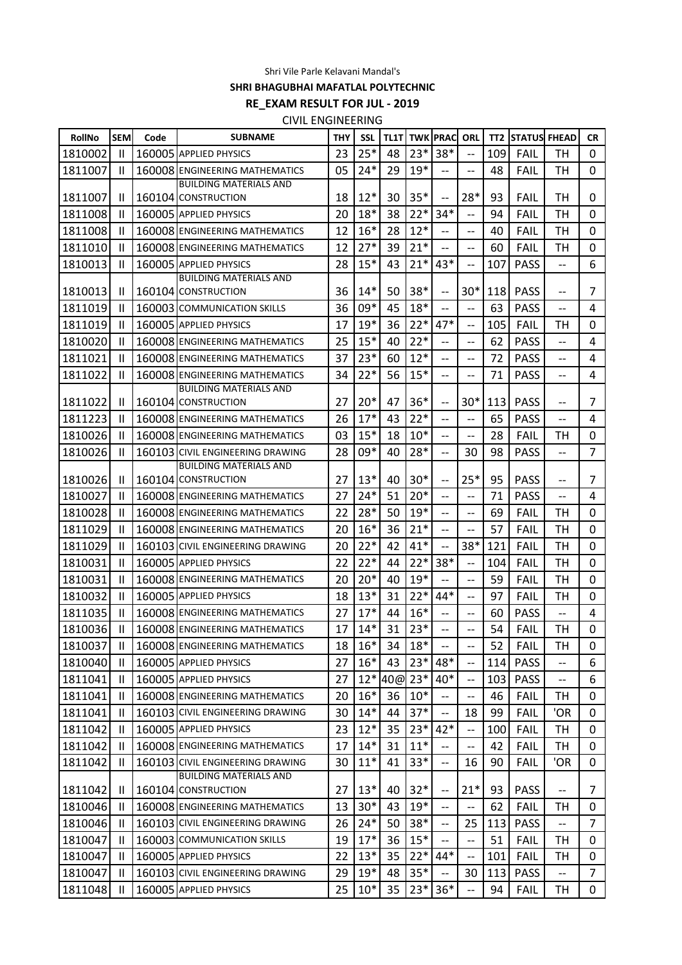Shri Vile Parle Kelavani Mandal's

**SHRI BHAGUBHAI MAFATLAL POLYTECHNIC**

**RE\_EXAM RESULT FOR JUL - 2019**

CIVIL ENGINEERING

| RollNo  | <b>SEM</b>   | Code | <b>SUBNAME</b>                                          | THY | <b>SSL</b> | <b>TL1T</b> |             | <b>TWK PRAC</b>          | ORL                      | TT2 | <b>STATUS FHEAD</b> |                          | <b>CR</b>      |
|---------|--------------|------|---------------------------------------------------------|-----|------------|-------------|-------------|--------------------------|--------------------------|-----|---------------------|--------------------------|----------------|
| 1810002 | Ш            |      | 160005 APPLIED PHYSICS                                  | 23  | $25*$      | 48          | $23*$       | 38*                      | --                       | 109 | FAIL                | тн                       | 0              |
| 1811007 | $\mathbf{H}$ |      | 160008 ENGINEERING MATHEMATICS                          | 05  | $24*$      | 29          | $19*$       | $\overline{\phantom{0}}$ | $\overline{a}$           | 48  | FAIL                | TH                       | $\mathbf 0$    |
|         |              |      | <b>BUILDING MATERIALS AND</b>                           |     |            |             |             |                          |                          |     |                     |                          |                |
| 1811007 | $\mathbf{H}$ |      | 160104 CONSTRUCTION                                     | 18  | $12*$      | 30          | $35*$       | $\overline{\phantom{a}}$ | 28*                      | 93  | FAIL                | TН                       | 0              |
| 1811008 | Ш            |      | 160005 APPLIED PHYSICS                                  | 20  | $18*$      | 38          | $22*$       | $34*$                    | --                       | 94  | <b>FAIL</b>         | TН                       | 0              |
| 1811008 | Ш            |      | 160008 ENGINEERING MATHEMATICS                          | 12  | $16*$      | 28          | $12*$       | $\overline{\phantom{0}}$ | $-$                      | 40  | FAIL                | TH                       | 0              |
| 1811010 | Ш            |      | 160008 ENGINEERING MATHEMATICS                          | 12  | $27*$      | 39          | $21*$       | $\overline{\phantom{0}}$ | $\overline{a}$           | 60  | <b>FAIL</b>         | TH                       | 0              |
| 1810013 | Ш            |      | 160005 APPLIED PHYSICS<br><b>BUILDING MATERIALS AND</b> | 28  | $15*$      | 43          | $21*$       | 43*                      | $-$                      | 107 | <b>PASS</b>         | --                       | 6              |
| 1810013 | Ш            |      | 160104 CONSTRUCTION                                     | 36  | $14*$      | 50          | $38*$       | $-$                      | $30*$                    | 118 | <b>PASS</b>         | --                       | 7              |
| 1811019 | Ш            |      | 160003 COMMUNICATION SKILLS                             | 36  | 09*        | 45          | $18*$       | $\overline{\phantom{0}}$ | $\overline{a}$           | 63  | <b>PASS</b>         | $-$                      | 4              |
| 1811019 | Ш            |      | 160005 APPLIED PHYSICS                                  | 17  | $19*$      | 36          | $22*$       | $47*$                    | $-$                      | 105 | <b>FAIL</b>         | тн                       | 0              |
| 1810020 | Ш            |      | 160008 ENGINEERING MATHEMATICS                          | 25  | $15*$      | 40          | $22*$       |                          | $-$                      | 62  | <b>PASS</b>         | --                       | 4              |
| 1811021 | Ш            |      | 160008 ENGINEERING MATHEMATICS                          | 37  | $23*$      | 60          | $12*$       | $-$                      | --                       | 72  | <b>PASS</b>         | $-$                      | 4              |
| 1811022 | Ш            |      | 160008 ENGINEERING MATHEMATICS                          | 34  | $22*$      | 56          | $15*$       | $\overline{\phantom{0}}$ | $\overline{a}$           | 71  | <b>PASS</b>         | --                       | 4              |
|         |              |      | <b>BUILDING MATERIALS AND</b>                           |     |            |             |             |                          |                          |     |                     |                          |                |
| 1811022 | Ш            |      | 160104 CONSTRUCTION                                     | 27  | $20*$      | 47          | $36*$       | $-$                      | $30*$                    | 113 | <b>PASS</b>         | $-$                      | 7              |
| 1811223 | Ш            |      | 160008 ENGINEERING MATHEMATICS                          | 26  | $17*$      | 43          | $22*$       |                          | $-$                      | 65  | <b>PASS</b>         | $-$                      | 4              |
| 1810026 | Ш            |      | 160008 ENGINEERING MATHEMATICS                          | 03  | $15*$      | 18          | $10*$       | --                       | --                       | 28  | FAIL                | TН                       | 0              |
| 1810026 | Ш            |      | 160103 CIVIL ENGINEERING DRAWING                        | 28  | 09*        | 40          | 28*         | $\overline{a}$           | 30                       | 98  | <b>PASS</b>         | $\overline{a}$           | $\overline{7}$ |
| 1810026 | $\mathbf{H}$ |      | <b>BUILDING MATERIALS AND</b><br>160104 CONSTRUCTION    | 27  | $13*$      | 40          | $30*$       | $\overline{\phantom{a}}$ | $25*$                    | 95  | <b>PASS</b>         | $\overline{\phantom{m}}$ | 7              |
| 1810027 | Ш            |      | 160008 ENGINEERING MATHEMATICS                          | 27  | $24*$      | 51          | $20*$       |                          | $-$                      | 71  | <b>PASS</b>         | --                       | 4              |
| 1810028 | Ш            |      | 160008 ENGINEERING MATHEMATICS                          | 22  | 28*        | 50          | $19*$       | $\overline{\phantom{0}}$ | $-$                      | 69  | FAIL                | TН                       | 0              |
| 1811029 | Ш            |      | 160008 ENGINEERING MATHEMATICS                          | 20  | $16*$      | 36          | $21*$       | $\overline{\phantom{0}}$ | $\overline{a}$           | 57  | <b>FAIL</b>         | TH                       | 0              |
| 1811029 | Ш            |      | 160103 CIVIL ENGINEERING DRAWING                        | 20  | $22*$      | 42          | $41*$       | $\overline{\phantom{a}}$ | 38*                      | 121 | <b>FAIL</b>         | TН                       | 0              |
| 1810031 | Ш            |      | 160005 APPLIED PHYSICS                                  | 22  | $22*$      | 44          | $22*$       | 38*                      | $-$                      | 104 | <b>FAIL</b>         | TH                       | 0              |
| 1810031 | Ш            |      | 160008 ENGINEERING MATHEMATICS                          | 20  | $20*$      | 40          | $19*$       |                          | $\overline{a}$           | 59  | <b>FAIL</b>         | TH                       | 0              |
| 1810032 | Ш            |      | 160005 APPLIED PHYSICS                                  | 18  | $13*$      | 31          | $22*$       | 44*                      | $\overline{a}$           | 97  | <b>FAIL</b>         | TН                       | 0              |
| 1811035 | Ш            |      | 160008 ENGINEERING MATHEMATICS                          | 27  | $17*$      | 44          | $16*$       |                          | --                       | 60  | <b>PASS</b>         | --                       | 4              |
| 1810036 | Ш            |      | 160008 ENGINEERING MATHEMATICS                          | 17  | $14*$      | 31          | $23*$       | $\overline{\phantom{0}}$ | $\overline{\phantom{a}}$ | 54  | <b>FAIL</b>         | TН                       | 0              |
| 1810037 | Ш            |      | 160008 ENGINEERING MATHEMATICS                          | 18  | $16*$      | 34          | $18*$       | $-$                      | $\overline{a}$           | 52  | <b>FAIL</b>         | TН                       | 0              |
| 1810040 | Ш            |      | 160005 APPLIED PHYSICS                                  | 27  | $16*$      | 43          | $23*$       | 48*                      | $-$                      | 114 | <b>PASS</b>         | --                       | 6              |
| 1811041 | $\mathbf{I}$ |      | 160005 APPLIED PHYSICS                                  | 27  |            |             | 12* 40@ 23* | $40*$                    | $\overline{\phantom{a}}$ | 103 | <b>PASS</b>         | $\overline{\phantom{a}}$ | 6              |
| 1811041 | $\mathbf{I}$ |      | 160008 ENGINEERING MATHEMATICS                          | 20  | $16*$      | 36          | $10*$       |                          | $-$                      | 46  | <b>FAIL</b>         | TH                       | 0              |
| 1811041 | $\mathbf{I}$ |      | 160103 CIVIL ENGINEERING DRAWING                        | 30  | $14*$      | 44          | $37*$       | --                       | 18                       | 99  | <b>FAIL</b>         | 'OR                      | 0              |
| 1811042 | Ħ            |      | 160005 APPLIED PHYSICS                                  | 23  | $12*$      | 35          | $23*$       | 42*                      | --                       | 100 | <b>FAIL</b>         | TH                       | 0              |
| 1811042 | Ш            |      | 160008 ENGINEERING MATHEMATICS                          | 17  | $14*$      | 31          | $11*$       | $-$                      | $\overline{\phantom{a}}$ | 42  | <b>FAIL</b>         | TН                       | 0              |
| 1811042 | Ш            |      | 160103 CIVIL ENGINEERING DRAWING                        | 30  | $11*$      | 41          | $33*$       | --                       | 16                       | 90  | <b>FAIL</b>         | 'OR                      | 0              |
| 1811042 | Ш            |      | <b>BUILDING MATERIALS AND</b><br>160104 CONSTRUCTION    | 27  | $13*$      | 40          | $32*$       | $-$                      | $21*$                    | 93  | <b>PASS</b>         | --                       | 7              |
| 1810046 | $\mathbf{I}$ |      | 160008 ENGINEERING MATHEMATICS                          | 13  | $30*$      | 43          | $19*$       | $-$                      | --                       | 62  | <b>FAIL</b>         | TH                       | 0              |
| 1810046 | Ш            |      | 160103 CIVIL ENGINEERING DRAWING                        | 26  | $24*$      | 50          | $38*$       |                          | 25                       | 113 | <b>PASS</b>         | --                       | $\overline{7}$ |
| 1810047 | Ш            |      | 160003 COMMUNICATION SKILLS                             | 19  | $17*$      | 36          | $15*$       |                          | $-$                      | 51  | <b>FAIL</b>         | TН                       | 0              |
| 1810047 | $\mathbf{I}$ |      | 160005 APPLIED PHYSICS                                  | 22  | $13*$      | 35          | $22*$       | $44*$                    | $\overline{\phantom{a}}$ | 101 | <b>FAIL</b>         | <b>TH</b>                | 0              |
| 1810047 | $\mathbf{I}$ |      | 160103 CIVIL ENGINEERING DRAWING                        | 29  | $19*$      | 48          | $35*$       |                          | 30                       | 113 | <b>PASS</b>         | --                       | $\overline{7}$ |
| 1811048 | Ш            |      | 160005 APPLIED PHYSICS                                  | 25  | $10*$      | 35          | $23*$       | $36*$                    | $-$                      | 94  | <b>FAIL</b>         | TН                       | 0              |